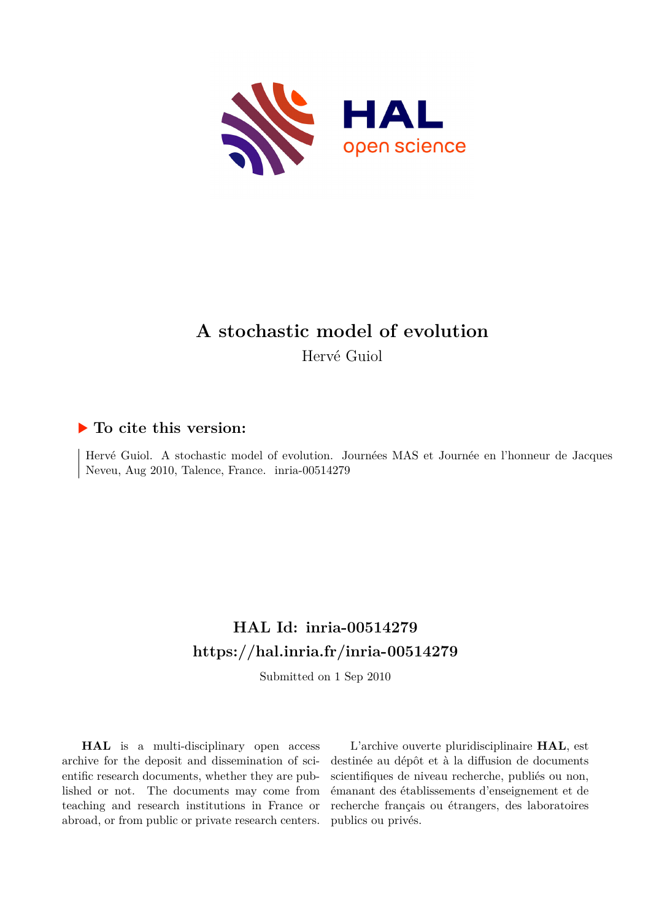

## **A stochastic model of evolution** Hervé Guiol

### **To cite this version:**

Hervé Guiol. A stochastic model of evolution. Journées MAS et Journée en l'honneur de Jacques Neveu, Aug 2010, Talence, France. inria-00514279

# **HAL Id: inria-00514279 <https://hal.inria.fr/inria-00514279>**

Submitted on 1 Sep 2010

**HAL** is a multi-disciplinary open access archive for the deposit and dissemination of scientific research documents, whether they are published or not. The documents may come from teaching and research institutions in France or abroad, or from public or private research centers.

L'archive ouverte pluridisciplinaire **HAL**, est destinée au dépôt et à la diffusion de documents scientifiques de niveau recherche, publiés ou non, émanant des établissements d'enseignement et de recherche français ou étrangers, des laboratoires publics ou privés.